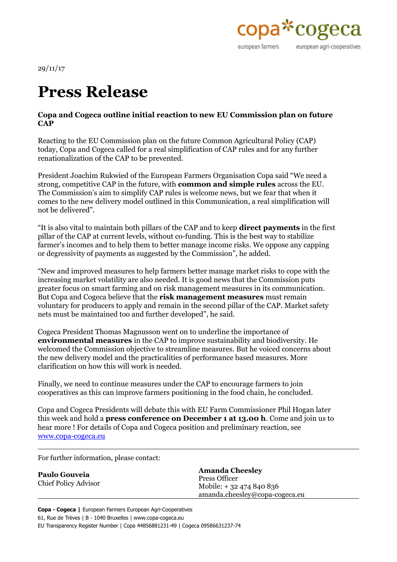

29/11/17

## **Press Release**

## **Copa and Cogeca outline initial reaction to new EU Commission plan on future CAP**

Reacting to the EU Commission plan on the future Common Agricultural Policy (CAP) today, Copa and Cogeca called for a real simplification of CAP rules and for any further renationalization of the CAP to be prevented.

President Joachim Rukwied of the European Farmers Organisation Copa said "We need a strong, competitive CAP in the future, with **common and simple rules** across the EU. The Commission's aim to simplify CAP rules is welcome news, but we fear that when it comes to the new delivery model outlined in this Communication, a real simplification will not be delivered".

"It is also vital to maintain both pillars of the CAP and to keep **direct payments** in the first pillar of the CAP at current levels, without co-funding. This is the best way to stabilize farmer's incomes and to help them to better manage income risks. We oppose any capping or degressivity of payments as suggested by the Commission", he added.

"New and improved measures to help farmers better manage market risks to cope with the increasing market volatility are also needed. It is good news that the Commission puts greater focus on smart farming and on risk management measures in its communication. But Copa and Cogeca believe that the **risk management measures** must remain voluntary for producers to apply and remain in the second pillar of the CAP. Market safety nets must be maintained too and further developed", he said.

Cogeca President Thomas Magnusson went on to underline the importance of **environmental measures** in the CAP to improve sustainability and biodiversity. He welcomed the Commission objective to streamline measures. But he voiced concerns about the new delivery model and the practicalities of performance based measures. More clarification on how this will work is needed.

Finally, we need to continue measures under the CAP to encourage farmers to join cooperatives as this can improve farmers positioning in the food chain, he concluded.

Copa and Cogeca Presidents will debate this with EU Farm Commissioner Phil Hogan later this week and hold a **press conference on December 1 at 13.00 h**. Come and join us to hear more ! For details of Copa and Cogeca position and preliminary reaction, see [www.copa-cogeca.eu](http://www.copa-cogeca.eu)

For further information, please contact:

| <b>Paulo Gouveia</b><br><b>Chief Policy Advisor</b> | <b>Amanda Cheesley</b><br>Press Officer<br>Mobile: + 32 474 840 836<br>amanda.cheesley@copa-cogeca.eu |
|-----------------------------------------------------|-------------------------------------------------------------------------------------------------------|
|-----------------------------------------------------|-------------------------------------------------------------------------------------------------------|

**Copa - Cogeca |** European Farmers European Agri-Cooperatives 61, Rue de Trèves | B - 1040 Bruxelles | www.copa-cogeca.eu EU Transparency Register Number | Copa 44856881231-49 | Cogeca 09586631237-74